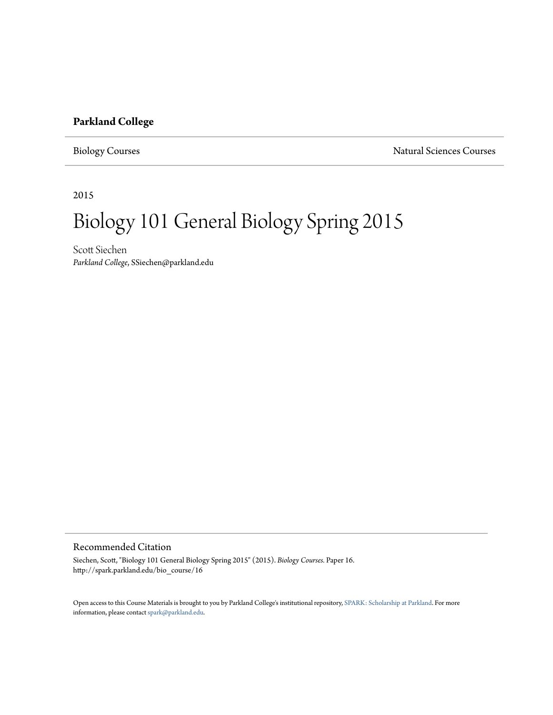#### **Parkland College**

Biology Courses Natural Sciences Courses

2015

# Biology 101 General Biology Spring 2015

Scott Siechen *Parkland College*, SSiechen@parkland.edu

#### Recommended Citation

Siechen, Scott, "Biology 101 General Biology Spring 2015" (2015). *Biology Courses.* Paper 16. http://spark.parkland.edu/bio\_course/16

Open access to this Course Materials is brought to you by Parkland College's institutional repository, [SPARK: Scholarship at Parkland](http://spark.parkland.edu/). For more information, please contact [spark@parkland.edu](mailto:spark@parkland.edu).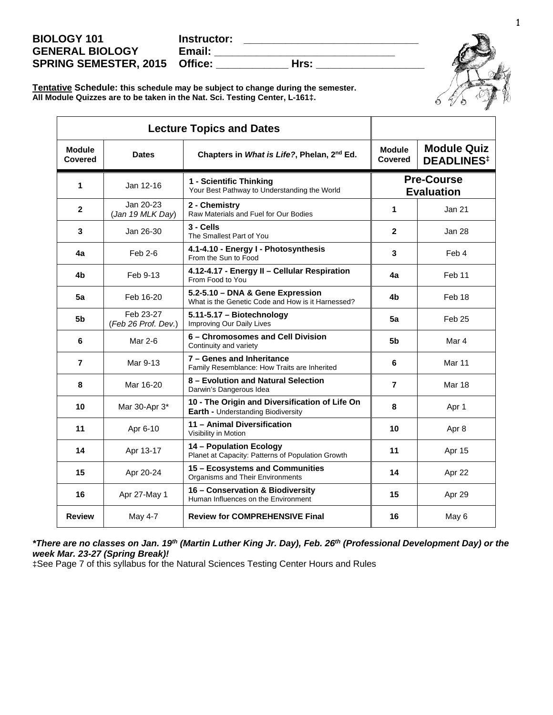| <b>BIOLOGY 101</b>                   | Instructor: |      |  |
|--------------------------------------|-------------|------|--|
| <b>GENERAL BIOLOGY</b>               | Email:      |      |  |
| <b>SPRING SEMESTER, 2015 Office:</b> |             | Hrs: |  |



**Tentative Schedule: this schedule may be subject to change during the semester. All Module Quizzes are to be taken in the Nat. Sci. Testing Center, L-161‡.**

|                                 | <b>Lecture Topics and Dates</b>  |                                                                                       |                                                                                       |                                        |  |
|---------------------------------|----------------------------------|---------------------------------------------------------------------------------------|---------------------------------------------------------------------------------------|----------------------------------------|--|
| <b>Module</b><br><b>Covered</b> | <b>Dates</b>                     | Chapters in What is Life?, Phelan, 2 <sup>nd</sup> Ed.                                | <b>Module Quiz</b><br><b>Module</b><br><b>Covered</b><br><b>DEADLINES<sup>‡</sup></b> |                                        |  |
| 1                               | Jan 12-16                        | 1 - Scientific Thinking<br>Your Best Pathway to Understanding the World               |                                                                                       | <b>Pre-Course</b><br><b>Evaluation</b> |  |
| $\mathbf{2}$                    | Jan 20-23<br>(Jan 19 MLK Day)    | 2 - Chemistry<br>Raw Materials and Fuel for Our Bodies                                | 1                                                                                     | Jan 21                                 |  |
| 3                               | Jan 26-30                        | $3 -$ Cells<br>The Smallest Part of You                                               | $\overline{2}$                                                                        | Jan 28                                 |  |
| 4a                              | Feb 2-6                          | 4.1-4.10 - Energy I - Photosynthesis<br>From the Sun to Food                          | 3                                                                                     | Feb 4                                  |  |
| 4b                              | Feb 9-13                         | 4.12-4.17 - Energy II - Cellular Respiration<br>From Food to You                      | 4a                                                                                    | Feb 11                                 |  |
| 5a                              | Feb 16-20                        | 5.2-5.10 - DNA & Gene Expression<br>What is the Genetic Code and How is it Harnessed? | 4b                                                                                    | Feb 18                                 |  |
| 5 <sub>b</sub>                  | Feb 23-27<br>(Feb 26 Prof. Dev.) | 5.11-5.17 - Biotechnology<br>Improving Our Daily Lives                                | 5a                                                                                    | Feb 25                                 |  |
| 6                               | Mar 2-6                          | 6 - Chromosomes and Cell Division<br>Continuity and variety                           | 5b                                                                                    | Mar 4                                  |  |
| 7                               | Mar 9-13                         | 7 - Genes and Inheritance<br>Family Resemblance: How Traits are Inherited             | 6                                                                                     | Mar 11                                 |  |
| 8                               | Mar 16-20                        | 8 – Evolution and Natural Selection<br>Darwin's Dangerous Idea                        | $\overline{7}$                                                                        | <b>Mar 18</b>                          |  |
| 10                              | Mar 30-Apr 3*                    | 10 - The Origin and Diversification of Life On<br>Earth - Understanding Biodiversity  | 8                                                                                     | Apr 1                                  |  |
| 11                              | Apr 6-10                         | 11 - Animal Diversification<br>Visibility in Motion                                   | 10                                                                                    | Apr 8                                  |  |
| 14                              | Apr 13-17                        | 14 - Population Ecology<br>Planet at Capacity: Patterns of Population Growth          | 11                                                                                    | Apr 15                                 |  |
| 15                              | Apr 20-24                        | 15 - Ecosystems and Communities<br>Organisms and Their Environments                   | 14                                                                                    | Apr 22                                 |  |
| 16                              | Apr 27-May 1                     | 16 - Conservation & Biodiversity<br>Human Influences on the Environment               | 15                                                                                    | Apr 29                                 |  |
| <b>Review</b>                   | May 4-7                          | <b>Review for COMPREHENSIVE Final</b>                                                 | 16                                                                                    | May 6                                  |  |

*\*There are no classes on Jan. 19th (Martin Luther King Jr. Day), Feb. 26th (Professional Development Day) or the week Mar. 23-27 (Spring Break)!*

‡See Page 7 of this syllabus for the Natural Sciences Testing Center Hours and Rules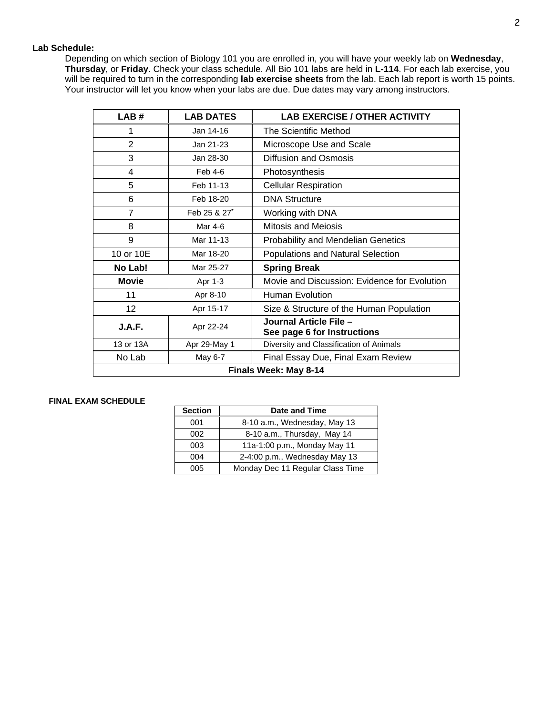#### **Lab Schedule:**

Depending on which section of Biology 101 you are enrolled in, you will have your weekly lab on **Wednesday**, **Thursday**, or **Friday**. Check your class schedule. All Bio 101 labs are held in **L-114**. For each lab exercise, you will be required to turn in the corresponding **lab exercise sheets** from the lab. Each lab report is worth 15 points. Your instructor will let you know when your labs are due. Due dates may vary among instructors.

| LAB#                  | <b>LAB DATES</b> | <b>LAB EXERCISE / OTHER ACTIVITY</b>                  |  |  |
|-----------------------|------------------|-------------------------------------------------------|--|--|
| 1                     | Jan 14-16        | The Scientific Method                                 |  |  |
| $\overline{2}$        | Jan 21-23        | Microscope Use and Scale                              |  |  |
| 3                     | Jan 28-30        | Diffusion and Osmosis                                 |  |  |
| 4                     | Feb 4-6          | Photosynthesis                                        |  |  |
| 5                     | Feb 11-13        | <b>Cellular Respiration</b>                           |  |  |
| 6                     | Feb 18-20        | <b>DNA Structure</b>                                  |  |  |
| 7                     | Feb 25 & 27*     | Working with DNA                                      |  |  |
| 8                     | Mar 4-6          | <b>Mitosis and Meiosis</b>                            |  |  |
| 9                     | Mar 11-13        | <b>Probability and Mendelian Genetics</b>             |  |  |
| 10 or 10E             | Mar 18-20        | Populations and Natural Selection                     |  |  |
| No Lab!               | Mar 25-27        | <b>Spring Break</b>                                   |  |  |
| <b>Movie</b>          | Apr 1-3          | Movie and Discussion: Evidence for Evolution          |  |  |
| 11                    | Apr 8-10         | <b>Human Evolution</b>                                |  |  |
| 12                    | Apr 15-17        | Size & Structure of the Human Population              |  |  |
| J.A.F.                | Apr 22-24        | Journal Article File -<br>See page 6 for Instructions |  |  |
| 13 or 13A             | Apr 29-May 1     | Diversity and Classification of Animals               |  |  |
| No Lab                | May 6-7          | Final Essay Due, Final Exam Review                    |  |  |
| Finals Week: May 8-14 |                  |                                                       |  |  |

#### **FINAL EXAM SCHEDULE**

| <b>Section</b> | Date and Time                    |
|----------------|----------------------------------|
| 001            | 8-10 a.m., Wednesday, May 13     |
| 002            | 8-10 a.m., Thursday, May 14      |
| 003            | 11a-1:00 p.m., Monday May 11     |
| 004            | 2-4:00 p.m., Wednesday May 13    |
| ነበ5            | Monday Dec 11 Regular Class Time |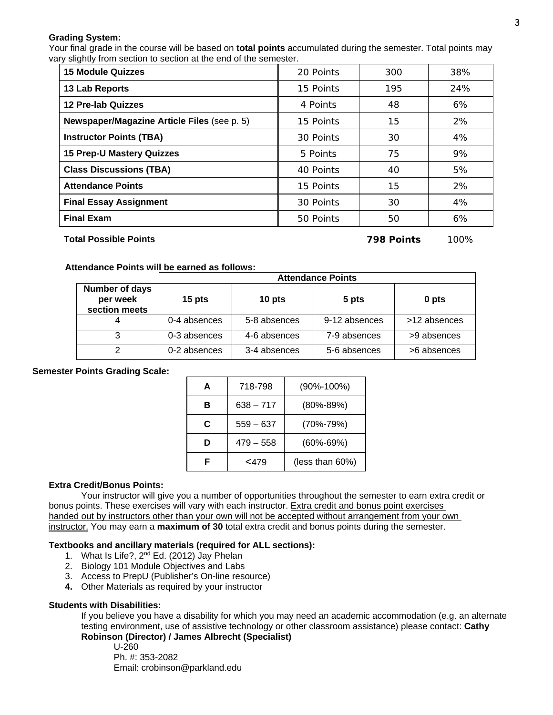#### **Grading System:**

 Your final grade in the course will be based on **total points** accumulated during the semester. Total points may vary slightly from section to section at the end of the semester.

| <b>15 Module Quizzes</b>                    | 20 Points | 300 | 38% |
|---------------------------------------------|-----------|-----|-----|
| 13 Lab Reports                              | 15 Points | 195 | 24% |
| <b>12 Pre-lab Quizzes</b>                   | 4 Points  | 48  | 6%  |
| Newspaper/Magazine Article Files (see p. 5) | 15 Points | 15  | 2%  |
| <b>Instructor Points (TBA)</b>              | 30 Points | 30  | 4%  |
| <b>15 Prep-U Mastery Quizzes</b>            | 5 Points  | 75  | 9%  |
| <b>Class Discussions (TBA)</b>              | 40 Points | 40  | 5%  |
| <b>Attendance Points</b>                    | 15 Points | 15  | 2%  |
| <b>Final Essay Assignment</b>               | 30 Points | 30  | 4%  |
| <b>Final Exam</b>                           | 50 Points | 50  | 6%  |

#### **Total Possible Points 798 Points** 100%

#### **Attendance Points will be earned as follows:**

|                                             | <b>Attendance Points</b> |              |               |              |  |  |  |
|---------------------------------------------|--------------------------|--------------|---------------|--------------|--|--|--|
| Number of days<br>per week<br>section meets | 15 pts                   | 10 pts       | 5 pts         | 0 pts        |  |  |  |
|                                             | 0-4 absences             | 5-8 absences | 9-12 absences | >12 absences |  |  |  |
|                                             | 0-3 absences             | 4-6 absences | 7-9 absences  | >9 absences  |  |  |  |
|                                             | 0-2 absences             | 3-4 absences | 5-6 absences  | >6 absences  |  |  |  |

#### **Semester Points Grading Scale:**

| 718-798<br>А |             | $(90\% - 100\%)$ |
|--------------|-------------|------------------|
| в            | $638 - 717$ | $(80\% - 89\%)$  |
| C            | $559 - 637$ | $(70\% - 79\%)$  |
| D            | $479 - 558$ | $(60\% - 69\%)$  |
| F            | $<$ 479     | (less than 60%)  |

#### **Extra Credit/Bonus Points:**

 Your instructor will give you a number of opportunities throughout the semester to earn extra credit or bonus points. These exercises will vary with each instructor. Extra credit and bonus point exercises handed out by instructors other than your own will not be accepted without arrangement from your own instructor. You may earn a **maximum of 30** total extra credit and bonus points during the semester.

#### **Textbooks and ancillary materials (required for ALL sections):**

- 1. What Is Life?, 2<sup>nd</sup> Ed. (2012) Jay Phelan
- 2. Biology 101 Module Objectives and Labs
- 3. Access to PrepU (Publisher's On-line resource)
- **4.** Other Materials as required by your instructor

#### **Students with Disabilities:**

If you believe you have a disability for which you may need an academic accommodation (e.g. an alternate testing environment, use of assistive technology or other classroom assistance) please contact: **Cathy Robinson (Director) / James Albrecht (Specialist)**

 U-260 Ph. #: 353-2082 Email: crobinson@parkland.edu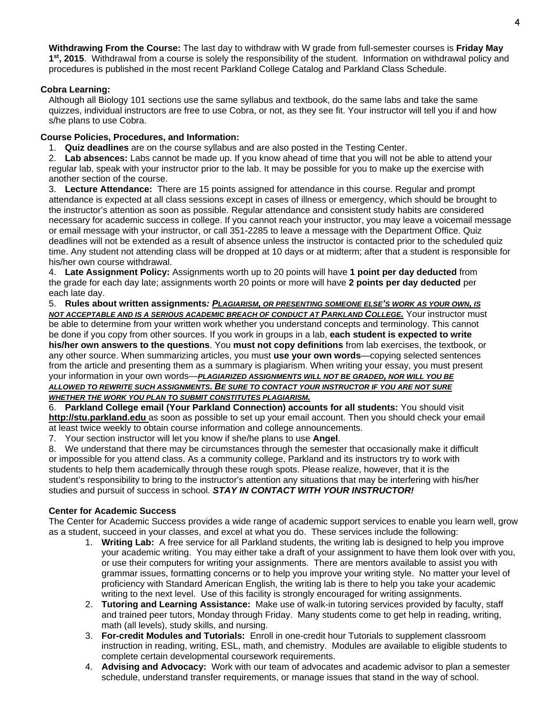**Withdrawing From the Course:** The last day to withdraw with W grade from full-semester courses is **Friday May 1st, 2015**. Withdrawal from a course is solely the responsibility of the student. Information on withdrawal policy and procedures is published in the most recent Parkland College Catalog and Parkland Class Schedule.

#### **Cobra Learning:**

Although all Biology 101 sections use the same syllabus and textbook, do the same labs and take the same quizzes, individual instructors are free to use Cobra, or not, as they see fit. Your instructor will tell you if and how s/he plans to use Cobra.

#### **Course Policies, Procedures, and Information:**

1. **Quiz deadlines** are on the course syllabus and are also posted in the Testing Center.

2. **Lab absences:** Labs cannot be made up. If you know ahead of time that you will not be able to attend your regular lab, speak with your instructor prior to the lab. It may be possible for you to make up the exercise with another section of the course.

3. **Lecture Attendance:** There are 15 points assigned for attendance in this course. Regular and prompt attendance is expected at all class sessions except in cases of illness or emergency, which should be brought to the instructor's attention as soon as possible. Regular attendance and consistent study habits are considered necessary for academic success in college. If you cannot reach your instructor, you may leave a voicemail message or email message with your instructor, or call 351-2285 to leave a message with the Department Office. Quiz deadlines will not be extended as a result of absence unless the instructor is contacted prior to the scheduled quiz time. Any student not attending class will be dropped at 10 days or at midterm; after that a student is responsible for his/her own course withdrawal.

4. **Late Assignment Policy:** Assignments worth up to 20 points will have **1 point per day deducted** from the grade for each day late; assignments worth 20 points or more will have **2 points per day deducted** per each late day.

5. **Rules about written assignments***: PLAGIARISM, OR PRESENTING SOMEONE ELSE'S WORK AS YOUR OWN, IS NOT ACCEPTABLE AND IS A SERIOUS ACADEMIC BREACH OF CONDUCT AT PARKLAND COLLEGE.* Your instructor must be able to determine from your written work whether you understand concepts and terminology. This cannot be done if you copy from other sources. If you work in groups in a lab, **each student is expected to write his/her own answers to the questions**. You **must not copy definitions** from lab exercises, the textbook, or any other source. When summarizing articles, you must **use your own words**—copying selected sentences from the article and presenting them as a summary is plagiarism. When writing your essay, you must present your information in your own words—*PLAGIARIZED ASSIGNMENTS WILL NOT BE GRADED, NOR WILL YOU BE ALLOWED TO REWRITE SUCH ASSIGNMENTS. BE SURE TO CONTACT YOUR INSTRUCTOR IF YOU ARE NOT SURE* 

#### *WHETHER THE WORK YOU PLAN TO SUBMIT CONSTITUTES PLAGIARISM.*

6. **Parkland College email (Your Parkland Connection) accounts for all students:** You should visit **http://stu.parkland.edu** as soon as possible to set up your email account. Then you should check your email at least twice weekly to obtain course information and college announcements.

7. Your section instructor will let you know if she/he plans to use **Angel**.

8. We understand that there may be circumstances through the semester that occasionally make it difficult or impossible for you attend class. As a community college, Parkland and its instructors try to work with students to help them academically through these rough spots. Please realize, however, that it is the student's responsibility to bring to the instructor's attention any situations that may be interfering with his/her studies and pursuit of success in school. *STAY IN CONTACT WITH YOUR INSTRUCTOR!* 

#### **Center for Academic Success**

The Center for Academic Success provides a wide range of academic support services to enable you learn well, grow as a student, succeed in your classes, and excel at what you do. These services include the following:

- 1. **Writing Lab:** A free service for all Parkland students, the writing lab is designed to help you improve your academic writing. You may either take a draft of your assignment to have them look over with you, or use their computers for writing your assignments. There are mentors available to assist you with grammar issues, formatting concerns or to help you improve your writing style. No matter your level of proficiency with Standard American English, the writing lab is there to help you take your academic writing to the next level. Use of this facility is strongly encouraged for writing assignments.
- 2. **Tutoring and Learning Assistance:** Make use of walk-in tutoring services provided by faculty, staff and trained peer tutors, Monday through Friday. Many students come to get help in reading, writing, math (all levels), study skills, and nursing.
- 3. **For-credit Modules and Tutorials:** Enroll in one-credit hour Tutorials to supplement classroom instruction in reading, writing, ESL, math, and chemistry. Modules are available to eligible students to complete certain developmental coursework requirements.
- 4. **Advising and Advocacy:** Work with our team of advocates and academic advisor to plan a semester schedule, understand transfer requirements, or manage issues that stand in the way of school.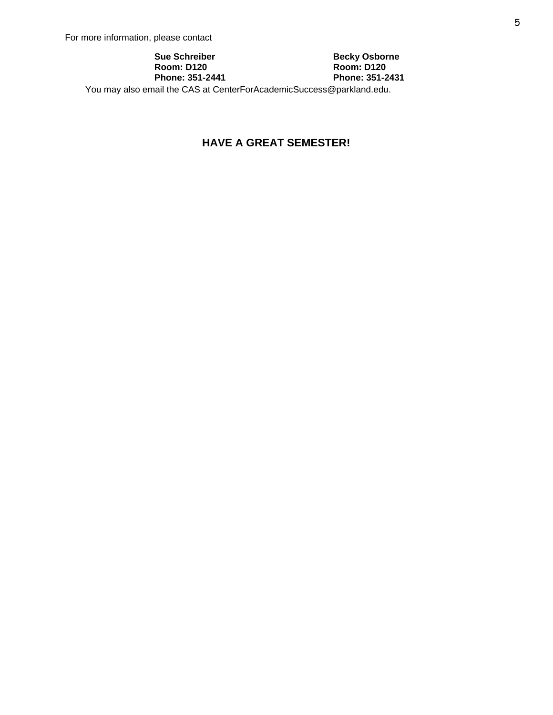#### **Sue Schreiber Room: D120 Phone: 351-2441**

**Becky Osborne Room: D120 Phone: 351-2431** 

You may also email the CAS at CenterForAcademicSuccess@parkland.edu.

### **HAVE A GREAT SEMESTER!**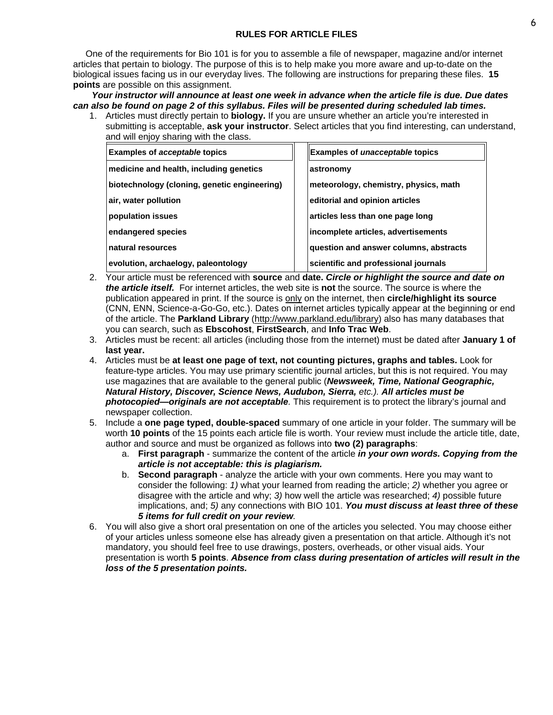#### **RULES FOR ARTICLE FILES**

 One of the requirements for Bio 101 is for you to assemble a file of newspaper, magazine and/or internet articles that pertain to biology. The purpose of this is to help make you more aware and up-to-date on the biological issues facing us in our everyday lives. The following are instructions for preparing these files. **15 points** are possible on this assignment.

*Your instructor will announce at least one week in advance when the article file is due. Due dates can also be found on page 2 of this syllabus. Files will be presented during scheduled lab times.* 

1. Articles must directly pertain to **biology.** If you are unsure whether an article you're interested in submitting is acceptable, **ask your instructor**. Select articles that you find interesting, can understand, and will enjoy sharing with the class.

| <b>Examples of acceptable topics</b>         | <b>Examples of unacceptable topics</b> |
|----------------------------------------------|----------------------------------------|
| medicine and health, including genetics      | astronomy                              |
| biotechnology (cloning, genetic engineering) | meteorology, chemistry, physics, math  |
| air, water pollution                         | editorial and opinion articles         |
| population issues                            | articles less than one page long       |
| endangered species                           | incomplete articles, advertisements    |
| Inatural resources                           | question and answer columns, abstracts |
| evolution, archaelogy, paleontology          | scientific and professional journals   |

- 2. Your article must be referenced with **source** and **date.** *Circle or highlight the source and date on the article itself.* For internet articles, the web site is **not** the source. The source is where the publication appeared in print. If the source is only on the internet, then **circle/highlight its source** (CNN, ENN, Science-a-Go-Go, etc.). Dates on internet articles typically appear at the beginning or end of the article. The **Parkland Library** (http://www.parkland.edu/library) also has many databases that you can search, such as **Ebscohost**, **FirstSearch**, and **Info Trac Web**.
- 3. Articles must be recent: all articles (including those from the internet) must be dated after **January 1 of last year.**
- 4. Articles must be **at least one page of text, not counting pictures, graphs and tables.** Look for feature-type articles. You may use primary scientific journal articles, but this is not required. You may use magazines that are available to the general public (*Newsweek, Time, National Geographic, Natural History, Discover, Science News, Audubon, Sierra, etc.). All articles must be photocopied—originals are not acceptable.* This requirement is to protect the library's journal and newspaper collection.
- 5. Include a **one page typed, double-spaced** summary of one article in your folder. The summary will be worth **10 points** of the 15 points each article file is worth. Your review must include the article title, date, author and source and must be organized as follows into **two (2) paragraphs**:
	- a. **First paragraph** summarize the content of the article *in your own words. Copying from the article is not acceptable: this is plagiarism.*
	- b. **Second paragraph** analyze the article with your own comments. Here you may want to consider the following: *1)* what your learned from reading the article; *2)* whether you agree or disagree with the article and why; *3)* how well the article was researched; *4)* possible future implications, and; *5)* any connections with BIO 101. *You must discuss at least three of these 5 items for full credit on your review.*
- 6. You will also give a short oral presentation on one of the articles you selected. You may choose either of your articles unless someone else has already given a presentation on that article. Although it's not mandatory, you should feel free to use drawings, posters, overheads, or other visual aids. Your presentation is worth **5 points**. *Absence from class during presentation of articles will result in the loss of the 5 presentation points.*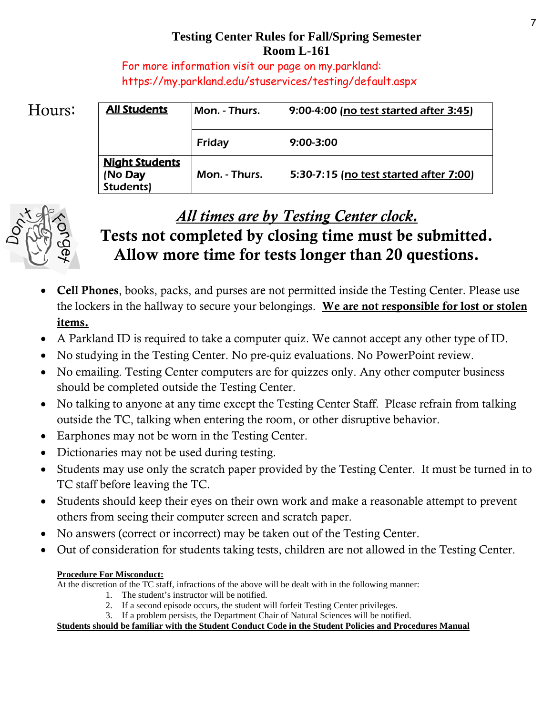## **Testing Center Rules for Fall/Spring Semester Room L-161**

For more information visit our page on my.parkland: https://my.parkland.edu/stuservices/testing/default.aspx

# Hours:

| <b>All Students</b>                                  | Mon. - Thurs. | 9:00-4:00 (no test started after 3:45) |
|------------------------------------------------------|---------------|----------------------------------------|
|                                                      | <b>Friday</b> | $9:00 - 3:00$                          |
| <b>Night Students</b><br>(No <b>Day</b><br>Students) | Mon. - Thurs. | 5:30-7:15 (no test started after 7:00) |



# *All times are by Testing Center clock.*

# Tests not completed by closing time must be submitted. Allow more time for tests longer than 20 questions.

- Cell Phones, books, packs, and purses are not permitted inside the Testing Center. Please use the lockers in the hallway to secure your belongings. We are not responsible for lost or stolen items.
- A Parkland ID is required to take a computer quiz. We cannot accept any other type of ID.
- No studying in the Testing Center. No pre-quiz evaluations. No PowerPoint review.
- No emailing. Testing Center computers are for quizzes only. Any other computer business should be completed outside the Testing Center.
- No talking to anyone at any time except the Testing Center Staff. Please refrain from talking outside the TC, talking when entering the room, or other disruptive behavior.
- Earphones may not be worn in the Testing Center.
- Dictionaries may not be used during testing.
- Students may use only the scratch paper provided by the Testing Center. It must be turned in to TC staff before leaving the TC.
- Students should keep their eyes on their own work and make a reasonable attempt to prevent others from seeing their computer screen and scratch paper.
- No answers (correct or incorrect) may be taken out of the Testing Center.
- Out of consideration for students taking tests, children are not allowed in the Testing Center.

### **Procedure For Misconduct:**

At the discretion of the TC staff, infractions of the above will be dealt with in the following manner:

- 1. The student's instructor will be notified.
- 2. If a second episode occurs, the student will forfeit Testing Center privileges.
- 3. If a problem persists, the Department Chair of Natural Sciences will be notified.

**Students should be familiar with the Student Conduct Code in the Student Policies and Procedures Manual**